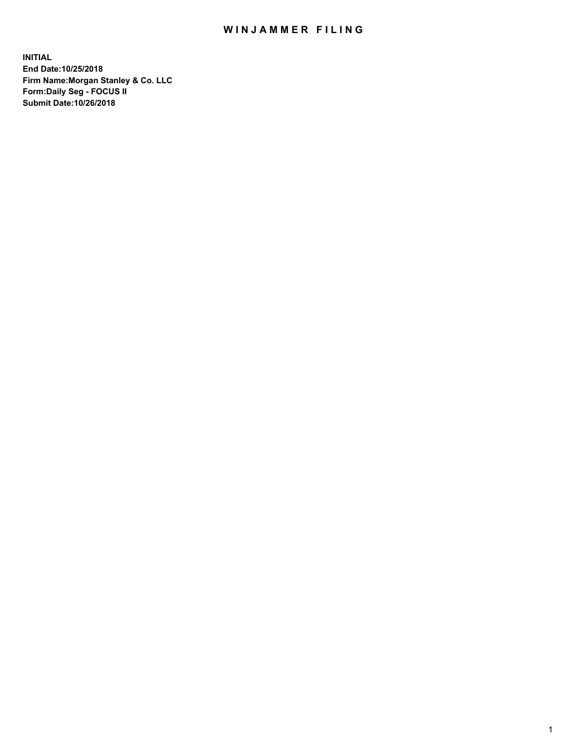## WIN JAMMER FILING

**INITIAL End Date:10/25/2018 Firm Name:Morgan Stanley & Co. LLC Form:Daily Seg - FOCUS II Submit Date:10/26/2018**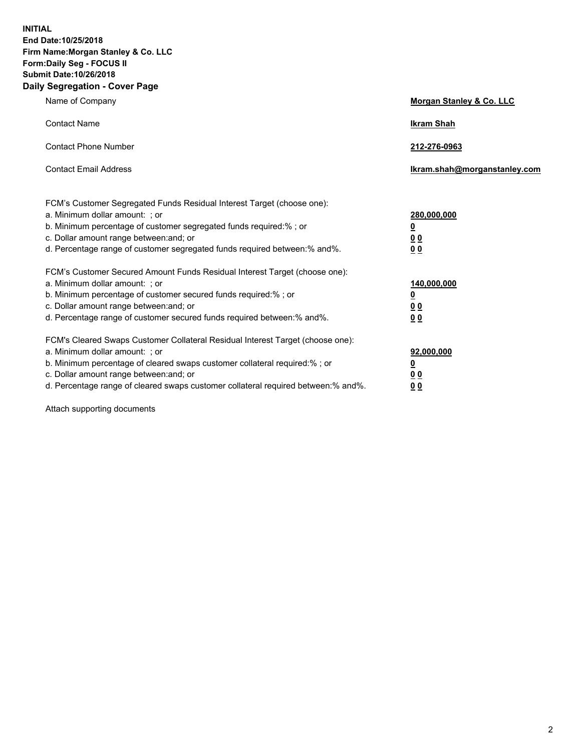**INITIAL End Date:10/25/2018 Firm Name:Morgan Stanley & Co. LLC Form:Daily Seg - FOCUS II Submit Date:10/26/2018 Daily Segregation - Cover Page**

| Name of Company                                                                                                                                                                                                                                                                                                                | Morgan Stanley & Co. LLC                               |
|--------------------------------------------------------------------------------------------------------------------------------------------------------------------------------------------------------------------------------------------------------------------------------------------------------------------------------|--------------------------------------------------------|
| <b>Contact Name</b>                                                                                                                                                                                                                                                                                                            | <b>Ikram Shah</b>                                      |
| <b>Contact Phone Number</b>                                                                                                                                                                                                                                                                                                    | 212-276-0963                                           |
| <b>Contact Email Address</b>                                                                                                                                                                                                                                                                                                   | Ikram.shah@morganstanley.com                           |
| FCM's Customer Segregated Funds Residual Interest Target (choose one):<br>a. Minimum dollar amount: ; or<br>b. Minimum percentage of customer segregated funds required:% ; or<br>c. Dollar amount range between: and; or<br>d. Percentage range of customer segregated funds required between:% and%.                         | 280,000,000<br><u>0</u><br><u>00</u><br>0 <sub>0</sub> |
| FCM's Customer Secured Amount Funds Residual Interest Target (choose one):<br>a. Minimum dollar amount: ; or<br>b. Minimum percentage of customer secured funds required:% ; or<br>c. Dollar amount range between: and; or<br>d. Percentage range of customer secured funds required between:% and%.                           | 140,000,000<br><u>0</u><br>0 <sub>0</sub><br>00        |
| FCM's Cleared Swaps Customer Collateral Residual Interest Target (choose one):<br>a. Minimum dollar amount: ; or<br>b. Minimum percentage of cleared swaps customer collateral required:% ; or<br>c. Dollar amount range between: and; or<br>d. Percentage range of cleared swaps customer collateral required between:% and%. | 92,000,000<br><u>0</u><br><u>00</u><br>00              |

Attach supporting documents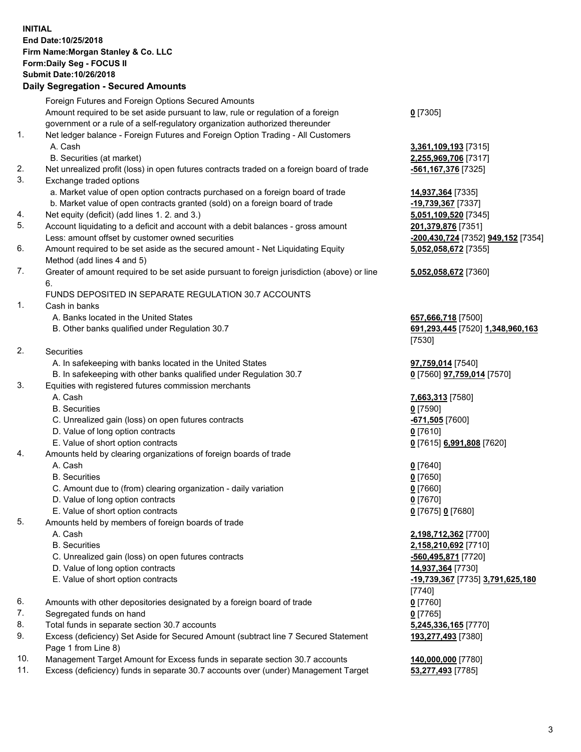## **INITIAL End Date:10/25/2018 Firm Name:Morgan Stanley & Co. LLC Form:Daily Seg - FOCUS II Submit Date:10/26/2018**

## **Daily Segregation - Secured Amounts**

|                | Foreign Futures and Foreign Options Secured Amounts                                         |                      |
|----------------|---------------------------------------------------------------------------------------------|----------------------|
|                | Amount required to be set aside pursuant to law, rule or regulation of a foreign            | $0$ [7305]           |
|                | government or a rule of a self-regulatory organization authorized thereunder                |                      |
| 1.             | Net ledger balance - Foreign Futures and Foreign Option Trading - All Customers             |                      |
|                | A. Cash                                                                                     | 3,361,109,193 [7315  |
|                | B. Securities (at market)                                                                   | 2,255,969,706 [7317  |
| 2.             | Net unrealized profit (loss) in open futures contracts traded on a foreign board of trade   | -561,167,376 [7325]  |
| 3.             | Exchange traded options                                                                     |                      |
|                | a. Market value of open option contracts purchased on a foreign board of trade              | 14,937,364 [7335]    |
|                | b. Market value of open contracts granted (sold) on a foreign board of trade                | -19,739,367 [7337]   |
| 4.             | Net equity (deficit) (add lines 1.2. and 3.)                                                | 5,051,109,520 [7345  |
| 5.             | Account liquidating to a deficit and account with a debit balances - gross amount           | 201,379,876 [7351]   |
|                | Less: amount offset by customer owned securities                                            | -200,430,724 [7352]  |
| 6.             | Amount required to be set aside as the secured amount - Net Liquidating Equity              | 5,052,058,672 [7355  |
|                | Method (add lines 4 and 5)                                                                  |                      |
| 7.             | Greater of amount required to be set aside pursuant to foreign jurisdiction (above) or line | 5,052,058,672 [7360  |
|                | 6.                                                                                          |                      |
|                | FUNDS DEPOSITED IN SEPARATE REGULATION 30.7 ACCOUNTS                                        |                      |
| 1.             | Cash in banks                                                                               |                      |
|                | A. Banks located in the United States                                                       | 657,666,718 [7500]   |
|                | B. Other banks qualified under Regulation 30.7                                              | 691,293,445 [7520]   |
|                |                                                                                             | [7530]               |
| 2.             | Securities                                                                                  |                      |
|                | A. In safekeeping with banks located in the United States                                   | 97,759,014 [7540]    |
|                | B. In safekeeping with other banks qualified under Regulation 30.7                          | 0 [7560] 97,759,014  |
| 3.             | Equities with registered futures commission merchants                                       |                      |
|                | A. Cash                                                                                     | 7,663,313 [7580]     |
|                | <b>B.</b> Securities                                                                        | $0$ [7590]           |
|                | C. Unrealized gain (loss) on open futures contracts                                         | -671,505 [7600]      |
|                | D. Value of long option contracts                                                           | $0$ [7610]           |
|                | E. Value of short option contracts                                                          | 0 [7615] 6,991,808 [ |
| 4.             | Amounts held by clearing organizations of foreign boards of trade                           |                      |
|                | A. Cash                                                                                     | $0$ [7640]           |
|                | <b>B.</b> Securities                                                                        | $0$ [7650]           |
|                | C. Amount due to (from) clearing organization - daily variation                             | $0$ [7660]           |
|                | D. Value of long option contracts                                                           | $0$ [7670]           |
|                | E. Value of short option contracts                                                          | 0 [7675] 0 [7680]    |
| 5.             | Amounts held by members of foreign boards of trade                                          |                      |
|                | A. Cash                                                                                     | 2,198,712,362 [7700  |
|                | <b>B.</b> Securities                                                                        | 2,158,210,692 [7710  |
|                | C. Unrealized gain (loss) on open futures contracts                                         | -560,495,871 [7720]  |
|                | D. Value of long option contracts                                                           | 14,937,364 [7730]    |
|                | E. Value of short option contracts                                                          | -19,739,367 [7735] 3 |
|                |                                                                                             | [7740]               |
| 6.             | Amounts with other depositories designated by a foreign board of trade                      | $0$ [7760]           |
| 7.             | Segregated funds on hand                                                                    | $0$ [7765]           |
| 8.             | Total funds in separate section 30.7 accounts                                               | 5,245,336,165 [7770  |
| 9.             | Excess (deficiency) Set Aside for Secured Amount (subtract line 7 Secured Statement         | 193,277,493 [7380]   |
|                | Page 1 from Line 8)                                                                         |                      |
| $\overline{A}$ |                                                                                             |                      |

- 10. Management Target Amount for Excess funds in separate section 30.7 accounts **140,000,000** [7780]
- 11. Excess (deficiency) funds in separate 30.7 accounts over (under) Management Target **53,277,493** [7785]

**09,193** [7315] **69,706** [7317]

09,520 [7345] Less: amount offset by customer owned securities **-200,430,724** [7352] **949,152** [7354] **58,672** [7355]

## **58,672** [7360]

**8,718** [7500] 8,445 [7520] 1,348,960,163

**97,759,014** [7570]

E. Value of short option contracts **0** [7615] **6,991,808** [7620]

 A. Cash **2,198,712,362** [7700] **10,692** [7710] C. Unrealized gain (loss) on open futures contracts **-560,495,871** [7720] E. Value of short option contracts **-19,739,367** [7735] **3,791,625,180 86,165** [7770] **193,277,493** [7380]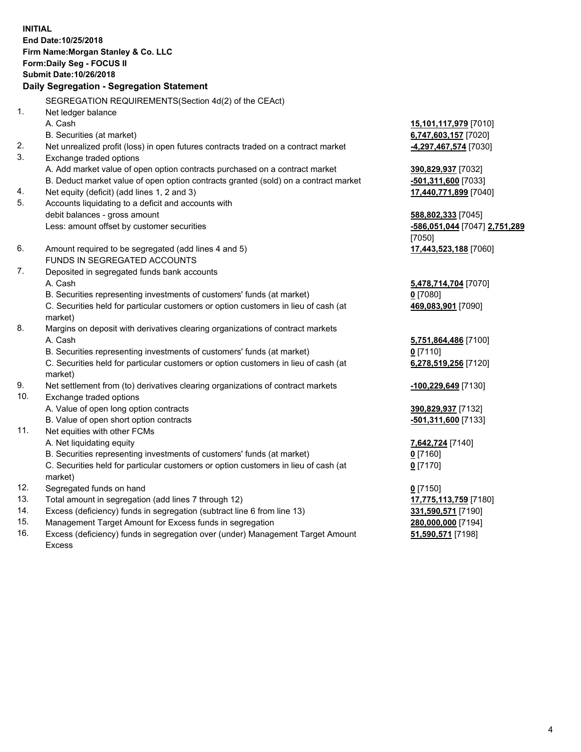**INITIAL End Date:10/25/2018 Firm Name:Morgan Stanley & Co. LLC Form:Daily Seg - FOCUS II Submit Date:10/26/2018 Daily Segregation - Segregation Statement** SEGREGATION REQUIREMENTS(Section 4d(2) of the CEAct) 1. Net ledger balance A. Cash **15,101,117,979** [7010] B. Securities (at market) **6,747,603,157** [7020] 2. Net unrealized profit (loss) in open futures contracts traded on a contract market **-4,297,467,574** [7030] 3. Exchange traded options A. Add market value of open option contracts purchased on a contract market **390,829,937** [7032] B. Deduct market value of open option contracts granted (sold) on a contract market **-501,311,600** [7033] 4. Net equity (deficit) (add lines 1, 2 and 3) **17,440,771,899** [7040] 5. Accounts liquidating to a deficit and accounts with debit balances - gross amount **588,802,333** [7045] Less: amount offset by customer securities **-586,051,044** [7047] **2,751,289** [7050] 6. Amount required to be segregated (add lines 4 and 5) **17,443,523,188** [7060] FUNDS IN SEGREGATED ACCOUNTS 7. Deposited in segregated funds bank accounts A. Cash **5,478,714,704** [7070] B. Securities representing investments of customers' funds (at market) **0** [7080] C. Securities held for particular customers or option customers in lieu of cash (at market) **469,083,901** [7090] 8. Margins on deposit with derivatives clearing organizations of contract markets A. Cash **5,751,864,486** [7100] B. Securities representing investments of customers' funds (at market) **0** [7110] C. Securities held for particular customers or option customers in lieu of cash (at market) **6,278,519,256** [7120] 9. Net settlement from (to) derivatives clearing organizations of contract markets **-100,229,649** [7130] 10. Exchange traded options A. Value of open long option contracts **390,829,937** [7132] B. Value of open short option contracts **-501,311,600** [7133] 11. Net equities with other FCMs A. Net liquidating equity **7,642,724** [7140] B. Securities representing investments of customers' funds (at market) **0** [7160] C. Securities held for particular customers or option customers in lieu of cash (at market) **0** [7170] 12. Segregated funds on hand **0** [7150] 13. Total amount in segregation (add lines 7 through 12) **17,775,113,759** [7180] 14. Excess (deficiency) funds in segregation (subtract line 6 from line 13) **331,590,571** [7190]

- 15. Management Target Amount for Excess funds in segregation **280,000,000** [7194]
- 16. Excess (deficiency) funds in segregation over (under) Management Target Amount Excess

**51,590,571** [7198]